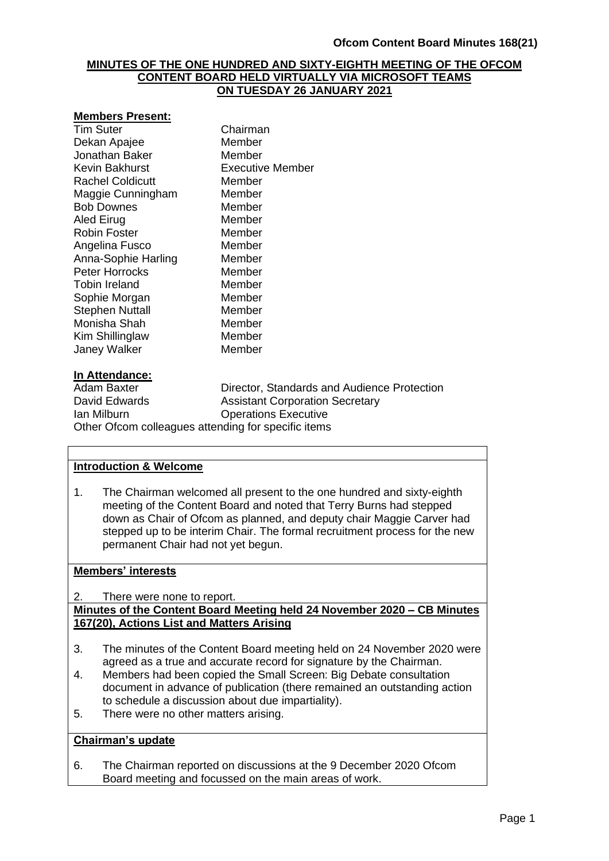### **MINUTES OF THE ONE HUNDRED AND SIXTY-EIGHTH MEETING OF THE OFCOM CONTENT BOARD HELD VIRTUALLY VIA MICROSOFT TEAMS ON TUESDAY 26 JANUARY 2021**

#### **Members Present:**

| <b>Tim Suter</b>       | Chairman         |
|------------------------|------------------|
| Dekan Apajee           | Member           |
| Jonathan Baker         | Member           |
| Kevin Bakhurst         | Executive Member |
| Rachel Coldicutt       | Member           |
| Maggie Cunningham      | Member           |
| <b>Bob Downes</b>      | Member           |
| Aled Eirug             | Member           |
| Robin Foster           | Member           |
| Angelina Fusco         | Member           |
| Anna-Sophie Harling    | Member           |
| <b>Peter Horrocks</b>  | Member           |
| Tobin Ireland          | Member           |
| Sophie Morgan          | Member           |
| <b>Stephen Nuttall</b> | Member           |
| Monisha Shah           | Member           |
| Kim Shillinglaw        | Member           |
| Janey Walker           | Member           |
|                        |                  |

### **In Attendance:**

Adam Baxter **Director, Standards and Audience Protection**<br>David Edwards **National Assistant Corporation Secretary Assistant Corporation Secretary** Ian Milburn Operations Executive Other Ofcom colleagues attending for specific items

### **Introduction & Welcome**

1. The Chairman welcomed all present to the one hundred and sixty-eighth meeting of the Content Board and noted that Terry Burns had stepped down as Chair of Ofcom as planned, and deputy chair Maggie Carver had stepped up to be interim Chair. The formal recruitment process for the new permanent Chair had not yet begun.

### **Members' interests**

2. There were none to report.

**Minutes of the Content Board Meeting held 24 November 2020 – CB Minutes 167(20), Actions List and Matters Arising** 

- 3. The minutes of the Content Board meeting held on 24 November 2020 were agreed as a true and accurate record for signature by the Chairman.
- 4. Members had been copied the Small Screen: Big Debate consultation document in advance of publication (there remained an outstanding action to schedule a discussion about due impartiality).
- 5. There were no other matters arising.

### **Chairman's update**

6. The Chairman reported on discussions at the 9 December 2020 Ofcom Board meeting and focussed on the main areas of work.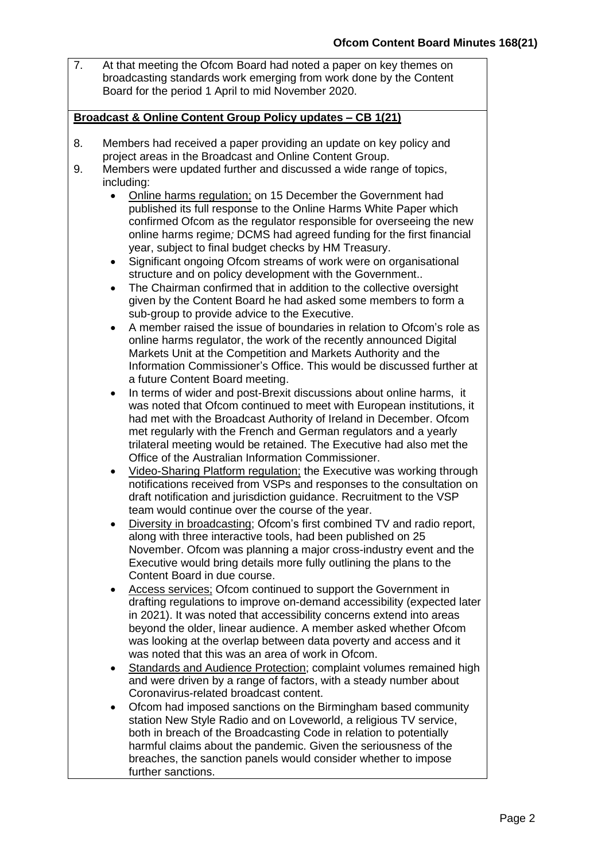7. At that meeting the Ofcom Board had noted a paper on key themes on broadcasting standards work emerging from work done by the Content Board for the period 1 April to mid November 2020.

### **Broadcast & Online Content Group Policy updates – CB 1(21)**

- 8. Members had received a paper providing an update on key policy and project areas in the Broadcast and Online Content Group.
- 9. Members were updated further and discussed a wide range of topics, including:
	- Online harms regulation; on 15 December the Government had published its full response to the Online Harms White Paper which confirmed Ofcom as the regulator responsible for overseeing the new online harms regime*;* DCMS had agreed funding for the first financial year, subject to final budget checks by HM Treasury.
	- Significant ongoing Ofcom streams of work were on organisational structure and on policy development with the Government..
	- The Chairman confirmed that in addition to the collective oversight given by the Content Board he had asked some members to form a sub-group to provide advice to the Executive.
	- A member raised the issue of boundaries in relation to Ofcom's role as online harms regulator, the work of the recently announced Digital Markets Unit at the Competition and Markets Authority and the Information Commissioner's Office. This would be discussed further at a future Content Board meeting.
	- In terms of wider and post-Brexit discussions about online harms, it was noted that Ofcom continued to meet with European institutions, it had met with the Broadcast Authority of Ireland in December. Ofcom met regularly with the French and German regulators and a yearly trilateral meeting would be retained. The Executive had also met the Office of the Australian Information Commissioner.
	- Video-Sharing Platform regulation; the Executive was working through notifications received from VSPs and responses to the consultation on draft notification and jurisdiction guidance. Recruitment to the VSP team would continue over the course of the year.
	- Diversity in broadcasting; Ofcom's first combined TV and radio report, along with three interactive tools, had been published on 25 November. Ofcom was planning a major cross-industry event and the Executive would bring details more fully outlining the plans to the Content Board in due course.
	- Access services; Ofcom continued to support the Government in drafting regulations to improve on-demand accessibility (expected later in 2021). It was noted that accessibility concerns extend into areas beyond the older, linear audience. A member asked whether Ofcom was looking at the overlap between data poverty and access and it was noted that this was an area of work in Ofcom.
	- Standards and Audience Protection; complaint volumes remained high and were driven by a range of factors, with a steady number about Coronavirus-related broadcast content.
	- Ofcom had imposed sanctions on the Birmingham based community station New Style Radio and on Loveworld, a religious TV service, both in breach of the Broadcasting Code in relation to potentially harmful claims about the pandemic. Given the seriousness of the breaches, the sanction panels would consider whether to impose further sanctions.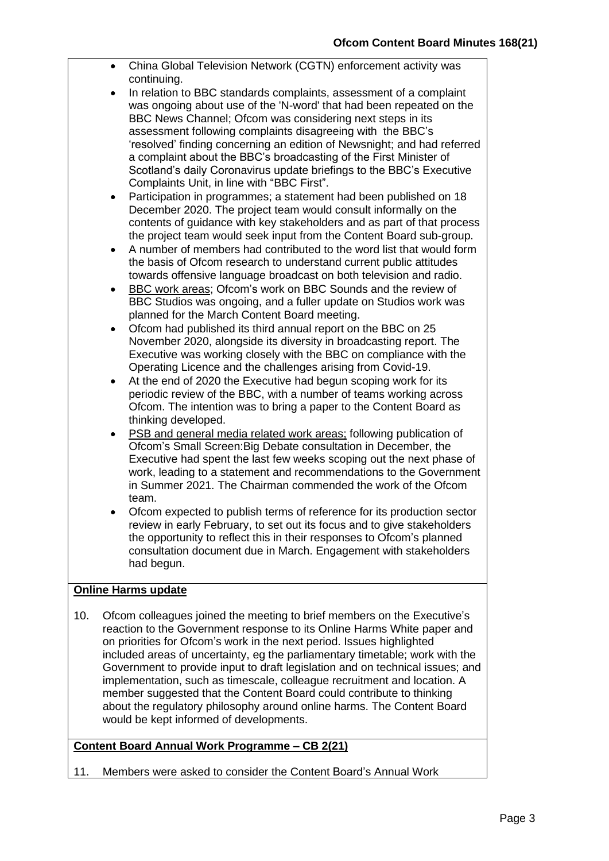- China Global Television Network (CGTN) enforcement activity was continuing.
- In relation to BBC standards complaints, assessment of a complaint was ongoing about use of the 'N-word' that had been repeated on the BBC News Channel; Ofcom was considering next steps in its assessment following complaints disagreeing with the BBC's 'resolved' finding concerning an edition of Newsnight; and had referred a complaint about the BBC's broadcasting of the First Minister of Scotland's daily Coronavirus update briefings to the BBC's Executive Complaints Unit, in line with "BBC First".
- Participation in programmes; a statement had been published on 18 December 2020. The project team would consult informally on the contents of guidance with key stakeholders and as part of that process the project team would seek input from the Content Board sub-group.
- A number of members had contributed to the word list that would form the basis of Ofcom research to understand current public attitudes towards offensive language broadcast on both television and radio.
- BBC work areas; Ofcom's work on BBC Sounds and the review of BBC Studios was ongoing, and a fuller update on Studios work was planned for the March Content Board meeting.
- Ofcom had published its third annual report on the BBC on 25 November 2020, alongside its diversity in broadcasting report. The Executive was working closely with the BBC on compliance with the Operating Licence and the challenges arising from Covid-19.
- At the end of 2020 the Executive had begun scoping work for its periodic review of the BBC, with a number of teams working across Ofcom. The intention was to bring a paper to the Content Board as thinking developed.
- PSB and general media related work areas; following publication of Ofcom's Small Screen:Big Debate consultation in December, the Executive had spent the last few weeks scoping out the next phase of work, leading to a statement and recommendations to the Government in Summer 2021. The Chairman commended the work of the Ofcom team.
- Ofcom expected to publish terms of reference for its production sector review in early February, to set out its focus and to give stakeholders the opportunity to reflect this in their responses to Ofcom's planned consultation document due in March. Engagement with stakeholders had begun.

# **Online Harms update**

10. Ofcom colleagues joined the meeting to brief members on the Executive's reaction to the Government response to its Online Harms White paper and on priorities for Ofcom's work in the next period. Issues highlighted included areas of uncertainty, eg the parliamentary timetable; work with the Government to provide input to draft legislation and on technical issues; and implementation, such as timescale, colleague recruitment and location. A member suggested that the Content Board could contribute to thinking about the regulatory philosophy around online harms. The Content Board would be kept informed of developments.

# **Content Board Annual Work Programme – CB 2(21)**

11. Members were asked to consider the Content Board's Annual Work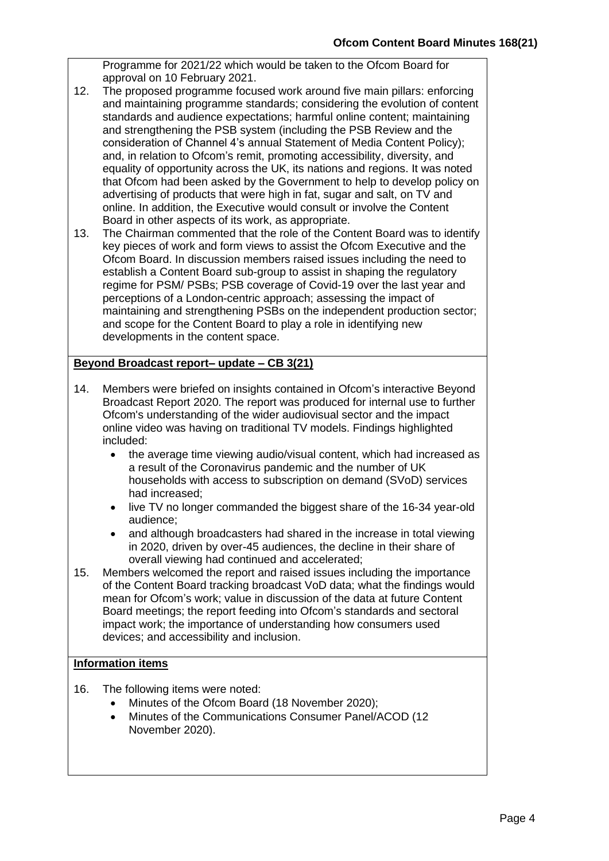Programme for 2021/22 which would be taken to the Ofcom Board for approval on 10 February 2021.

- 12. The proposed programme focused work around five main pillars: enforcing and maintaining programme standards; considering the evolution of content standards and audience expectations; harmful online content; maintaining and strengthening the PSB system (including the PSB Review and the consideration of Channel 4's annual Statement of Media Content Policy); and, in relation to Ofcom's remit, promoting accessibility, diversity, and equality of opportunity across the UK, its nations and regions. It was noted that Ofcom had been asked by the Government to help to develop policy on advertising of products that were high in fat, sugar and salt, on TV and online. In addition, the Executive would consult or involve the Content Board in other aspects of its work, as appropriate.
- 13. The Chairman commented that the role of the Content Board was to identify key pieces of work and form views to assist the Ofcom Executive and the Ofcom Board. In discussion members raised issues including the need to establish a Content Board sub-group to assist in shaping the regulatory regime for PSM/ PSBs; PSB coverage of Covid-19 over the last year and perceptions of a London-centric approach; assessing the impact of maintaining and strengthening PSBs on the independent production sector; and scope for the Content Board to play a role in identifying new developments in the content space.

# **Beyond Broadcast report– update – CB 3(21)**

- 14. Members were briefed on insights contained in Ofcom's interactive Beyond Broadcast Report 2020. The report was produced for internal use to further Ofcom's understanding of the wider audiovisual sector and the impact online video was having on traditional TV models. Findings highlighted included:
	- the average time viewing audio/visual content, which had increased as a result of the Coronavirus pandemic and the number of UK households with access to subscription on demand (SVoD) services had increased;
	- live TV no longer commanded the biggest share of the 16-34 year-old audience;
	- and although broadcasters had shared in the increase in total viewing in 2020, driven by over-45 audiences, the decline in their share of overall viewing had continued and accelerated;
- 15. Members welcomed the report and raised issues including the importance of the Content Board tracking broadcast VoD data; what the findings would mean for Ofcom's work; value in discussion of the data at future Content Board meetings; the report feeding into Ofcom's standards and sectoral impact work; the importance of understanding how consumers used devices; and accessibility and inclusion.

# **Information items**

- 16. The following items were noted:
	- Minutes of the Ofcom Board (18 November 2020);
	- Minutes of the Communications Consumer Panel/ACOD (12 November 2020).